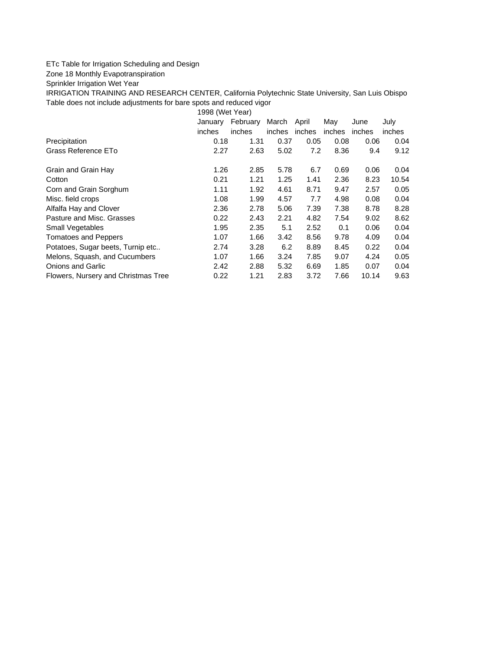## ETc Table for Irrigation Scheduling and Design

Zone 18 Monthly Evapotranspiration

Sprinkler Irrigation Wet Year

IRRIGATION TRAINING AND RESEARCH CENTER, California Polytechnic State University, San Luis Obispo Table does not include adjustments for bare spots and reduced vigor

1998 (Wet Year)

|                                     | January | February | March  | April  | May    | June   | July   |
|-------------------------------------|---------|----------|--------|--------|--------|--------|--------|
|                                     | inches  | inches   | inches | inches | inches | inches | inches |
| Precipitation                       | 0.18    | 1.31     | 0.37   | 0.05   | 0.08   | 0.06   | 0.04   |
| Grass Reference ETo                 | 2.27    | 2.63     | 5.02   | 7.2    | 8.36   | 9.4    | 9.12   |
| Grain and Grain Hay                 | 1.26    | 2.85     | 5.78   | 6.7    | 0.69   | 0.06   | 0.04   |
| Cotton                              | 0.21    | 1.21     | 1.25   | 1.41   | 2.36   | 8.23   | 10.54  |
| Corn and Grain Sorghum              | 1.11    | 1.92     | 4.61   | 8.71   | 9.47   | 2.57   | 0.05   |
| Misc. field crops                   | 1.08    | 1.99     | 4.57   | 7.7    | 4.98   | 0.08   | 0.04   |
| Alfalfa Hay and Clover              | 2.36    | 2.78     | 5.06   | 7.39   | 7.38   | 8.78   | 8.28   |
| Pasture and Misc. Grasses           | 0.22    | 2.43     | 2.21   | 4.82   | 7.54   | 9.02   | 8.62   |
| <b>Small Vegetables</b>             | 1.95    | 2.35     | 5.1    | 2.52   | 0.1    | 0.06   | 0.04   |
| <b>Tomatoes and Peppers</b>         | 1.07    | 1.66     | 3.42   | 8.56   | 9.78   | 4.09   | 0.04   |
| Potatoes, Sugar beets, Turnip etc   | 2.74    | 3.28     | 6.2    | 8.89   | 8.45   | 0.22   | 0.04   |
| Melons, Squash, and Cucumbers       | 1.07    | 1.66     | 3.24   | 7.85   | 9.07   | 4.24   | 0.05   |
| Onions and Garlic                   | 2.42    | 2.88     | 5.32   | 6.69   | 1.85   | 0.07   | 0.04   |
| Flowers, Nursery and Christmas Tree | 0.22    | 1.21     | 2.83   | 3.72   | 7.66   | 10.14  | 9.63   |